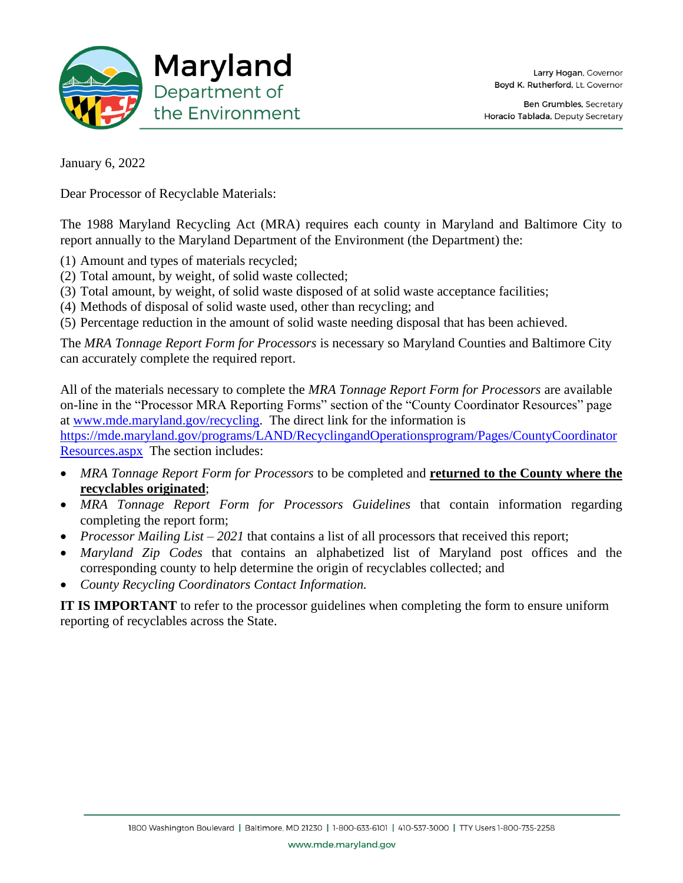

January 6, 2022

Dear Processor of Recyclable Materials:

The 1988 Maryland Recycling Act (MRA) requires each county in Maryland and Baltimore City to report annually to the Maryland Department of the Environment (the Department) the:

- (1) Amount and types of materials recycled;
- (2) Total amount, by weight, of solid waste collected;
- (3) Total amount, by weight, of solid waste disposed of at solid waste acceptance facilities;
- (4) Methods of disposal of solid waste used, other than recycling; and
- (5) Percentage reduction in the amount of solid waste needing disposal that has been achieved.

The *MRA Tonnage Report Form for Processors* is necessary so Maryland Counties and Baltimore City can accurately complete the required report.

All of the materials necessary to complete the *MRA Tonnage Report Form for Processors* are available on-line in the "Processor MRA Reporting Forms" section of the "County Coordinator Resources" page at [www.mde.maryland.gov/recycling.](http://www.mde.maryland.gov/recycling) The direct link for the information is [https://mde.maryland.gov/programs/LAND/RecyclingandOperationsprogram/Pages/CountyCoordinator](https://mde.maryland.gov/programs/LAND/RecyclingandOperationsprogram/Pages/CountyCoordinatorResources.aspx)

[Resources.aspx](https://mde.maryland.gov/programs/LAND/RecyclingandOperationsprogram/Pages/CountyCoordinatorResources.aspx) The section includes:

- *MRA Tonnage Report Form for Processors* to be completed and **returned to the County where the recyclables originated**;
- *MRA Tonnage Report Form for Processors Guidelines* that contain information regarding completing the report form;
- *Processor Mailing List 2021* that contains a list of all processors that received this report;
- *Maryland Zip Codes* that contains an alphabetized list of Maryland post offices and the corresponding county to help determine the origin of recyclables collected; and
- *County Recycling Coordinators Contact Information.*

**IT IS IMPORTANT** to refer to the processor guidelines when completing the form to ensure uniform reporting of recyclables across the State.